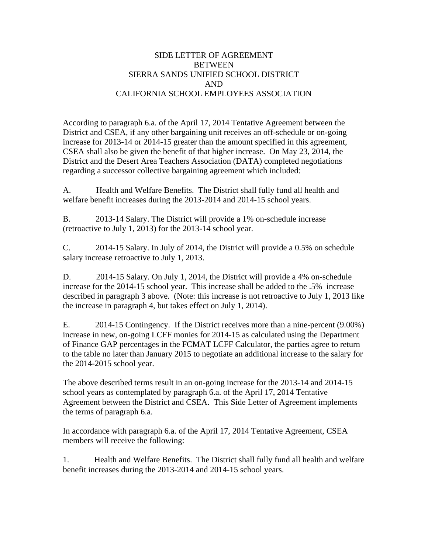## SIDE LETTER OF AGREEMENT **BETWEEN** SIERRA SANDS UNIFIED SCHOOL DISTRICT AND CALIFORNIA SCHOOL EMPLOYEES ASSOCIATION

According to paragraph 6.a. of the April 17, 2014 Tentative Agreement between the District and CSEA, if any other bargaining unit receives an off-schedule or on-going increase for 2013-14 or 2014-15 greater than the amount specified in this agreement, CSEA shall also be given the benefit of that higher increase. On May 23, 2014, the District and the Desert Area Teachers Association (DATA) completed negotiations regarding a successor collective bargaining agreement which included:

A. Health and Welfare Benefits. The District shall fully fund all health and welfare benefit increases during the 2013-2014 and 2014-15 school years.

B. 2013-14 Salary. The District will provide a 1% on-schedule increase (retroactive to July 1, 2013) for the 2013-14 school year.

C. 2014-15 Salary. In July of 2014, the District will provide a 0.5% on schedule salary increase retroactive to July 1, 2013.

D. 2014-15 Salary. On July 1, 2014, the District will provide a 4% on-schedule increase for the 2014-15 school year. This increase shall be added to the .5% increase described in paragraph 3 above. (Note: this increase is not retroactive to July 1, 2013 like the increase in paragraph 4, but takes effect on July 1, 2014).

E. 2014-15 Contingency. If the District receives more than a nine-percent (9.00%) increase in new, on-going LCFF monies for 2014-15 as calculated using the Department of Finance GAP percentages in the FCMAT LCFF Calculator, the parties agree to return to the table no later than January 2015 to negotiate an additional increase to the salary for the 2014-2015 school year.

The above described terms result in an on-going increase for the 2013-14 and 2014-15 school years as contemplated by paragraph 6.a. of the April 17, 2014 Tentative Agreement between the District and CSEA. This Side Letter of Agreement implements the terms of paragraph 6.a.

In accordance with paragraph 6.a. of the April 17, 2014 Tentative Agreement, CSEA members will receive the following:

1. Health and Welfare Benefits. The District shall fully fund all health and welfare benefit increases during the 2013-2014 and 2014-15 school years.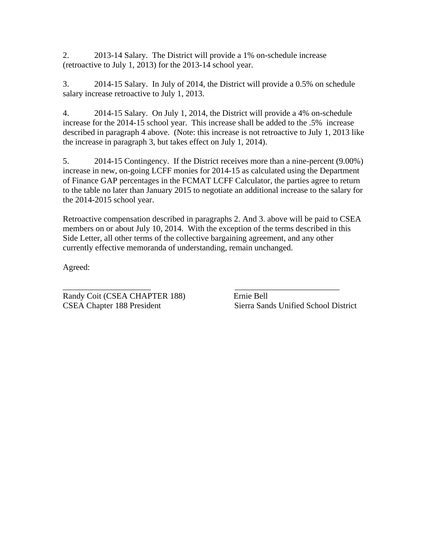2. 2013-14 Salary. The District will provide a 1% on-schedule increase (retroactive to July 1, 2013) for the 2013-14 school year.

3. 2014-15 Salary. In July of 2014, the District will provide a 0.5% on schedule salary increase retroactive to July 1, 2013.

4. 2014-15 Salary. On July 1, 2014, the District will provide a 4% on-schedule increase for the 2014-15 school year. This increase shall be added to the .5% increase described in paragraph 4 above. (Note: this increase is not retroactive to July 1, 2013 like the increase in paragraph 3, but takes effect on July 1, 2014).

5. 2014-15 Contingency. If the District receives more than a nine-percent (9.00%) increase in new, on-going LCFF monies for 2014-15 as calculated using the Department of Finance GAP percentages in the FCMAT LCFF Calculator, the parties agree to return to the table no later than January 2015 to negotiate an additional increase to the salary for the 2014-2015 school year.

Retroactive compensation described in paragraphs 2. And 3. above will be paid to CSEA members on or about July 10, 2014. With the exception of the terms described in this Side Letter, all other terms of the collective bargaining agreement, and any other currently effective memoranda of understanding, remain unchanged.

Agreed:

Randy Coit (CSEA CHAPTER 188) Ernie Bell CSEA Chapter 188 President Sierra Sands Unified School District

\_\_\_\_\_\_\_\_\_\_\_\_\_\_\_\_\_\_\_\_\_ \_\_\_\_\_\_\_\_\_\_\_\_\_\_\_\_\_\_\_\_\_\_\_\_\_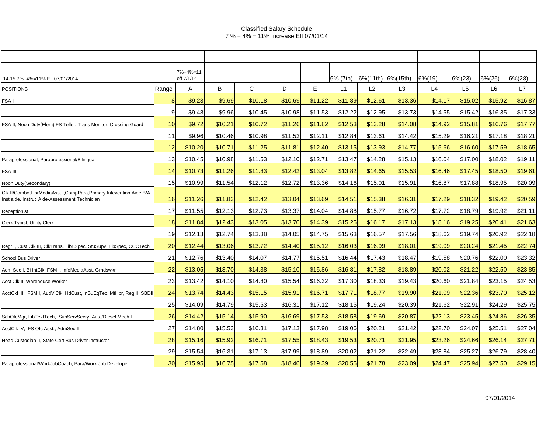### Classified Salary Schedule 7 % + 4% = 11% Increase Eff 07/01/14

|                                                                                                                         |       | 7%+4%=11   |         |         |         |         |          |                           |                |            |                |                |            |
|-------------------------------------------------------------------------------------------------------------------------|-------|------------|---------|---------|---------|---------|----------|---------------------------|----------------|------------|----------------|----------------|------------|
| 14-15 7%+4%=11% Eff 07/01/2014                                                                                          |       | eff 7/1/14 |         |         |         |         | 6% (7th) | $ 6\% (11th)  6\% (15th)$ |                | $6\% (19)$ | $6\%(23)$      | $6\% (26)$     | $6\% (28)$ |
| <b>POSITIONS</b>                                                                                                        | Range | А          | B       | C       | D       | E       | L1       | L2                        | L <sub>3</sub> | L4         | L <sub>5</sub> | L <sub>6</sub> | L7         |
| FSA I                                                                                                                   |       | \$9.23     | \$9.69  | \$10.18 | \$10.69 | \$11.22 | \$11.89  | \$12.61                   | \$13.36        | \$14.17    | \$15.02        | \$15.92        | \$16.87    |
|                                                                                                                         |       | \$9.48     | \$9.96  | \$10.45 | \$10.98 | \$11.53 | \$12.22  | \$12.95                   | \$13.73        | \$14.55    | \$15.42        | \$16.35        | \$17.33    |
| FSA II, Noon Duty(Elem) FS Teller, Trans Monitor, Crossing Guard                                                        | 10    | \$9.72     | \$10.21 | \$10.72 | \$11.26 | \$11.82 | \$12.53  | \$13.28                   | \$14.08        | \$14.92    | \$15.81        | \$16.76        | \$17.77    |
|                                                                                                                         | 11    | \$9.96     | \$10.46 | \$10.98 | \$11.53 | \$12.11 | \$12.84  | \$13.61                   | \$14.42        | \$15.29    | \$16.21        | \$17.18        | \$18.21    |
|                                                                                                                         | 12    | \$10.20    | \$10.71 | \$11.25 | \$11.81 | \$12.40 | \$13.15  | \$13.93                   | \$14.77        | \$15.66    | \$16.60        | \$17.59        | \$18.65    |
| Paraprofessional, Paraprofessional/Bilingual                                                                            | 13    | \$10.45    | \$10.98 | \$11.53 | \$12.10 | \$12.71 | \$13.47  | \$14.28                   | \$15.13        | \$16.04    | \$17.00        | \$18.02        | \$19.11    |
| <b>FSA III</b>                                                                                                          | 14    | \$10.73    | \$11.26 | \$11.83 | \$12.42 | \$13.04 | \$13.82  | \$14.65                   | \$15.53        | \$16.46    | \$17.45        | \$18.50        | \$19.61    |
| Noon Duty(Secondary)                                                                                                    | 15    | \$10.99    | \$11.54 | \$12.12 | \$12.72 | \$13.36 | \$14.16  | \$15.01                   | \$15.91        | \$16.87    | \$17.88        | \$18.95        | \$20.09    |
| Clk II/Combo, LibrMediaAsst I, CompPara, Primary Intevention Aide, B/A<br>Inst aide, Instruc Aide-Assessment Technician | 16    | \$11.26    | \$11.83 | \$12.42 | \$13.04 | \$13.69 | \$14.51  | \$15.38                   | \$16.31        | \$17.29    | \$18.32        | \$19.42        | \$20.59    |
| Receptionist                                                                                                            | 17    | \$11.55    | \$12.13 | \$12.73 | \$13.37 | \$14.04 | \$14.88  | \$15.77                   | \$16.72        | \$17.72    | \$18.79        | \$19.92        | \$21.11    |
| <b>Clerk Typist, Utility Clerk</b>                                                                                      | 18    | \$11.84    | \$12.43 | \$13.05 | \$13.70 | \$14.39 | \$15.25  | \$16.17                   | \$17.13        | \$18.16    | \$19.25        | \$20.41        | \$21.63    |
|                                                                                                                         | 19    | \$12.13    | \$12.74 | \$13.38 | \$14.05 | \$14.75 | \$15.63  | \$16.57                   | \$17.56        | \$18.62    | \$19.74        | \$20.92        | \$22.18    |
| Regr I, Cust, Clk III, ClkTrans, Libr Spec, StuSupv, LibSpec, CCCTech                                                   | 20    | \$12.44    | \$13.06 | \$13.72 | \$14.40 | \$15.12 | \$16.03  | \$16.99                   | \$18.01        | \$19.09    | \$20.24        | \$21.45        | \$22.74    |
| School Bus Driver I                                                                                                     | 21    | \$12.76    | \$13.40 | \$14.07 | \$14.77 | \$15.51 | \$16.44  | \$17.43                   | \$18.47        | \$19.58    | \$20.76        | \$22.00        | \$23.32    |
| Adm Sec I, Bi IntClk, FSM I, InfoMediaAsst, Grndswkr                                                                    | 22    | \$13.05    | \$13.70 | \$14.38 | \$15.10 | \$15.86 | \$16.81  | \$17.82                   | \$18.89        | \$20.02    | \$21.22        | \$22.50        | \$23.85    |
| Acct Clk II. Warehouse Worker                                                                                           | 23    | \$13.42    | \$14.10 | \$14.80 | \$15.54 | \$16.32 | \$17.30  | \$18.33                   | \$19.43        | \$20.60    | \$21.84        | \$23.15        | \$24.53    |
| AcctCkI III, FSMII, AudViClk, HdCust, InSuEqTec, MtHpr, Reg II, SBDI                                                    | 24    | \$13.74    | \$14.43 | \$15.15 | \$15.91 | \$16.71 | \$17.71  | \$18.77                   | \$19.90        | \$21.09    | \$22.36        | \$23.70        | \$25.12    |
|                                                                                                                         | 25    | \$14.09    | \$14.79 | \$15.53 | \$16.31 | \$17.12 | \$18.15  | \$19.24                   | \$20.39        | \$21.62    | \$22.91        | \$24.29        | \$25.75    |
| SchOfcMgr, LibTextTech, SupServSecry, Auto/Diesel Mech I                                                                | 26    | \$14.42    | \$15.14 | \$15.90 | \$16.69 | \$17.53 | \$18.58  | \$19.69                   | \$20.87        | \$22.13    | \$23.45        | \$24.86        | \$26.35    |
| AcctClk IV, FS Ofc Asst., AdmSec II,                                                                                    | 27    | \$14.80    | \$15.53 | \$16.31 | \$17.13 | \$17.98 | \$19.06  | \$20.21                   | \$21.42        | \$22.70    | \$24.07        | \$25.51        | \$27.04    |
| Head Custodian II, State Cert Bus Driver Instructor                                                                     | 28    | \$15.16    | \$15.92 | \$16.71 | \$17.55 | \$18.43 | \$19.53  | \$20.71                   | \$21.95        | \$23.26    | \$24.66        | \$26.14        | \$27.71    |
|                                                                                                                         | 29    | \$15.54    | \$16.31 | \$17.13 | \$17.99 | \$18.89 | \$20.02  | \$21.22                   | \$22.49        | \$23.84    | \$25.27        | \$26.79        | \$28.40    |
| Paraprofessional/WorkJobCoach, Para/Work Job Developer                                                                  | 30    | \$15.95    | \$16.75 | \$17.58 | \$18.46 | \$19.39 | \$20.55  | \$21.78                   | \$23.09        | \$24.47    | \$25.94        | \$27.50        | \$29.15    |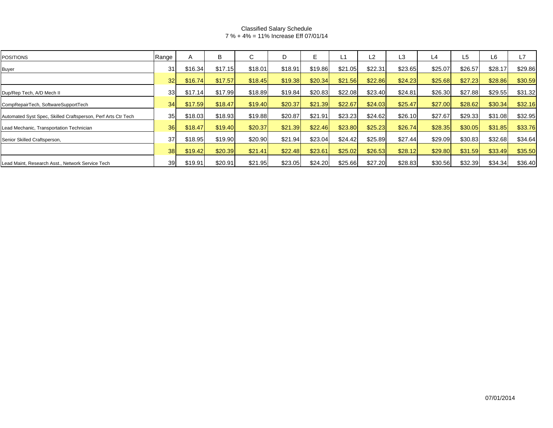### Classified Salary Schedule 7 % + 4% = 11% Increase Eff 07/01/14

| <b>POSITIONS</b>                                              | Range           | A       | B       |         | D       | F.      |          | L2      | L3       | L4      | L5      | L6      | L7      |
|---------------------------------------------------------------|-----------------|---------|---------|---------|---------|---------|----------|---------|----------|---------|---------|---------|---------|
| <b>Buyer</b>                                                  | 31              | \$16.34 | \$17.15 | \$18.01 | \$18.91 | \$19.86 | \$21.05  | \$22.31 | \$23.65  | \$25.07 | \$26.57 | \$28.17 | \$29.86 |
|                                                               | 32 <sub>l</sub> | \$16.74 | \$17.57 | \$18.45 | \$19.38 | \$20.34 | \$21.56  | \$22.86 | \$24.23  | \$25.68 | \$27.23 | \$28.86 | \$30.59 |
| Dup/Rep Tech, A/D Mech II                                     | 33 <sup>1</sup> | \$17.14 | \$17.99 | \$18.89 | \$19.84 | \$20.83 | \$22.08  | \$23.40 | \$24.81  | \$26.30 | \$27.88 | \$29.55 | \$31.32 |
| CompRepairTech, SoftwareSupportTech                           | 34              | \$17.59 | \$18.47 | \$19.40 | \$20.37 | \$21.39 | \$22.67  | \$24.03 | \$25.47  | \$27.00 | \$28.62 | \$30.34 | \$32.16 |
| Automated Syst Spec, Skilled Craftsperson, Perf Arts Ctr Tech | 35 <sub>l</sub> | \$18.03 | \$18.93 | \$19.88 | \$20.87 | \$21.91 | \$23.23  | \$24.62 | \$26.10  | \$27.67 | \$29.33 | \$31.08 | \$32.95 |
| Lead Mechanic, Transportation Technician                      | 36              | \$18.47 | \$19.40 | \$20.37 | \$21.39 | \$22.46 | \$23.80  | \$25.23 | \$26.74] | \$28.35 | \$30.05 | \$31.85 | \$33.76 |
| Senior Skilled Craftsperson,                                  | 37              | \$18.95 | \$19.90 | \$20.90 | \$21.94 | \$23.04 | \$24.42] | \$25.89 | \$27.44] | \$29.09 | \$30.83 | \$32.68 | \$34.64 |
|                                                               | 38 <sup>l</sup> | \$19.42 | \$20.39 | \$21.41 | \$22.48 | \$23.61 | \$25.02  | \$26.53 | \$28.12  | \$29.80 | \$31.59 | \$33.49 | \$35.50 |
| Lead Maint, Research Asst., Network Service Tech              | 39              | \$19.91 | \$20.91 | \$21.95 | \$23.05 | \$24.20 | \$25.66  | \$27.20 | \$28.83  | \$30.56 | \$32.39 | \$34.34 | \$36.40 |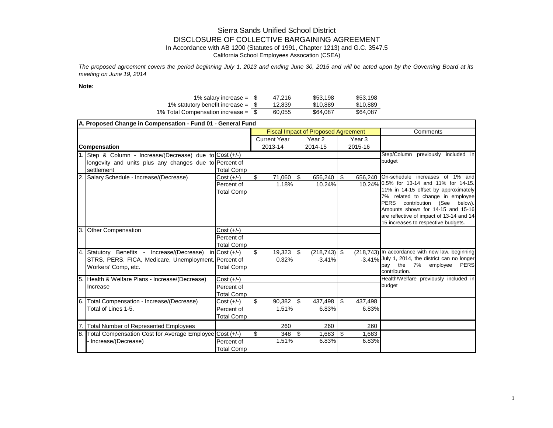## Sierra Sands Unified School District DISCLOSURE OF COLLECTIVE BARGAINING AGREEMENT

In Accordance with AB 1200 (Statutes of 1991, Chapter 1213) and G.C. 3547.5

California School Employees Assocation (CSEA)

*The proposed agreement covers the period beginning July 1, 2013 and ending June 30, 2015 and will be acted upon by the Governing Board at its meeting on June 19, 2014*

**Note:**

| 1% salary increase = $$$             | 47.216 | \$53.198 | \$53.198 |
|--------------------------------------|--------|----------|----------|
| 1% statutory benefit increase = $$$  | 12.839 | \$10.889 | \$10.889 |
| 1% Total Compensation increase = $$$ | 60.055 | \$64.087 | \$64.087 |

|     | A. Proposed Change in Compensation - Fund 01 - General Fund |                   |         |                     |          |                                            |         |                   |                                                                    |
|-----|-------------------------------------------------------------|-------------------|---------|---------------------|----------|--------------------------------------------|---------|-------------------|--------------------------------------------------------------------|
|     |                                                             |                   |         |                     |          | <b>Fiscal Impact of Proposed Agreement</b> |         |                   | Comments                                                           |
|     |                                                             |                   |         | <b>Current Year</b> |          | Year 2                                     |         | Year <sub>3</sub> |                                                                    |
|     | <b>Compensation</b>                                         |                   | 2013-14 |                     | 2014-15  |                                            | 2015-16 |                   |                                                                    |
|     | Step & Column - Increase/(Decrease) due to Cost (+/-)       |                   |         |                     |          |                                            |         |                   | Step/Column previously included in                                 |
|     | longevity and units plus any changes due to Percent of      |                   |         |                     |          |                                            |         |                   | budget                                                             |
|     | settlement                                                  | <b>Total Comp</b> |         |                     |          |                                            |         |                   |                                                                    |
|     | Salary Schedule - Increase/(Decrease)                       | $Cost (+/-)$      | \$      | 71,060              | \$       | 656,240                                    | - \$    | 656,240           | On-schedule increases of 1% and                                    |
|     |                                                             | Percent of        |         | 1.18%               |          | 10.24%                                     |         |                   | 10.24% 0.5% for 13-14 and 11% for 14-15.                           |
|     |                                                             | <b>Total Comp</b> |         |                     |          |                                            |         |                   | 11% in 14-15 offset by approximately                               |
|     |                                                             |                   |         |                     |          |                                            |         |                   | 7% related to change in employee<br>PERS contribution (See below). |
|     |                                                             |                   |         |                     |          |                                            |         |                   | Amounts shown for 14-15 and 15-16                                  |
|     |                                                             |                   |         |                     |          |                                            |         |                   | are reflective of impact of 13-14 and 14                           |
|     |                                                             |                   |         |                     |          |                                            |         |                   | 15 increases to respective budgets.                                |
|     | 3. Other Compensation                                       | $Cost (+/-)$      |         |                     |          |                                            |         |                   |                                                                    |
|     |                                                             | Percent of        |         |                     |          |                                            |         |                   |                                                                    |
|     |                                                             | <b>Total Comp</b> |         |                     |          |                                            |         |                   |                                                                    |
|     | 4. Statutory Benefits - Increase/(Decrease)                 | $in$ Cost $(+/-)$ | \$      | 19,323              | <b>S</b> | $(218, 743)$ \$                            |         |                   | (218,743) In accordance with new law, beginning                    |
|     | STRS, PERS, FICA, Medicare, Unemployment, Percent of        |                   |         | 0.32%               |          | $-3.41%$                                   |         |                   | -3.41% July 1, 2014, the district can no longer                    |
|     | Workers' Comp, etc.                                         | <b>Total Comp</b> |         |                     |          |                                            |         |                   | pay the 7%<br>employee<br><b>PERS</b>                              |
|     |                                                             |                   |         |                     |          |                                            |         |                   | contribution.                                                      |
|     | Health & Welfare Plans - Increase/(Decrease)                | $Cost (+/-)$      |         |                     |          |                                            |         |                   | Health/Welfare previously included in                              |
|     | Increase                                                    | Percent of        |         |                     |          |                                            |         |                   | budget                                                             |
|     |                                                             | <b>Total Comp</b> |         |                     |          |                                            |         |                   |                                                                    |
|     | 6. Total Compensation - Increase/(Decrease)                 | $Cost (+/-)$      | \$      | 90,382              | \$       | 437,498                                    | l \$    | 437,498           |                                                                    |
|     | Total of Lines 1-5.                                         | Percent of        |         | 1.51%               |          | 6.83%                                      |         | 6.83%             |                                                                    |
|     |                                                             | <b>Total Comp</b> |         |                     |          |                                            |         |                   |                                                                    |
| 17. | Total Number of Represented Employees                       |                   |         | 260                 |          | 260                                        |         | 260               |                                                                    |
| 8.  | Total Compensation Cost for Average Employee Cost (+/-)     |                   | \$      | 348                 | \$       | 1,683                                      | l \$    | 1,683             |                                                                    |
|     | Increase/(Decrease)                                         | Percent of        |         | 1.51%               |          | 6.83%                                      |         | 6.83%             |                                                                    |
|     |                                                             | <b>Total Comp</b> |         |                     |          |                                            |         |                   |                                                                    |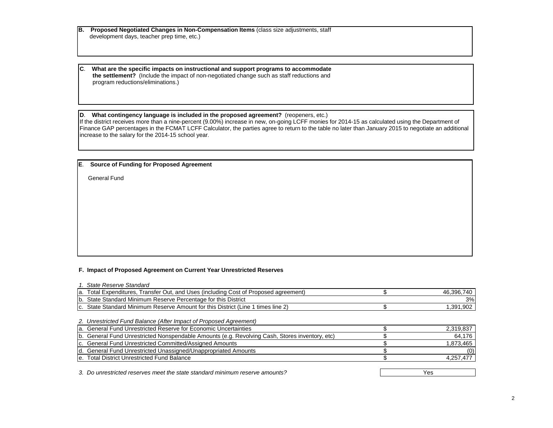**B. Proposed Negotiated Changes in Non-Compensation Items** (class size adjustments, staff development days, teacher prep time, etc.)

**C**. **What are the specific impacts on instructional and support programs to accommodate the settlement?** (Include the impact of non-negotiated change such as staff reductions and program reductions/eliminations.)

#### **D**. **What contingency language is included in the proposed agreement?** (reopeners, etc.)

If the district receives more than a nine-percent (9.00%) increase in new, on-going LCFF monies for 2014-15 as calculated using the Department of Finance GAP percentages in the FCMAT LCFF Calculator, the parties agree to return to the table no later than January 2015 to negotiate an additional increase to the salary for the 2014-15 school year.

#### **E**. **Source of Funding for Proposed Agreement**

General Fund

#### **F. Impact of Proposed Agreement on Current Year Unrestricted Reserves**

| 1. State Reserve Standard                                                                      |              |
|------------------------------------------------------------------------------------------------|--------------|
| a. Total Expenditures, Transfer Out, and Uses (including Cost of Proposed agreement)           | 46,396,740   |
| b. State Standard Minimum Reserve Percentage for this District                                 | 3%           |
| c. State Standard Minimum Reserve Amount for this District (Line 1 times line 2)               | 1,391,902    |
|                                                                                                |              |
| 2. Unrestricted Fund Balance (After Impact of Proposed Agreement)                              |              |
| la. General Fund Unrestricted Reserve for Economic Uncertainties                               | 2,319,837    |
| b. General Fund Unrestricted Nonspendable Amounts (e.g. Revolving Cash, Stores inventory, etc) | 64,176       |
| c. General Fund Unrestricted Committed/Assigned Amounts                                        | 1,873,465    |
| d. General Fund Unrestricted Unassigned/Unappropriated Amounts                                 |              |
| e. Total District Unrestricted Fund Balance                                                    | 4,257,477    |
|                                                                                                |              |
|                                                                                                | $\mathbf{v}$ |

*3. Do unrestricted reserves meet the state standard minimum reserve amounts?* Yes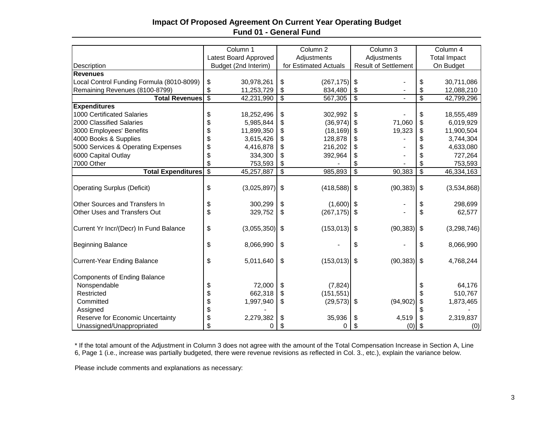## **Impact Of Proposed Agreement On Current Year Operating Budget Fund 01 - General Fund**

|                                           | Column 1                 |                       | Column <sub>2</sub>                    |                | Column 3                    |                | Column 4                  |                     |  |  |
|-------------------------------------------|--------------------------|-----------------------|----------------------------------------|----------------|-----------------------------|----------------|---------------------------|---------------------|--|--|
|                                           |                          | Latest Board Approved |                                        | Adjustments    |                             | Adjustments    |                           | <b>Total Impact</b> |  |  |
| Description                               | Budget (2nd Interim)     |                       | for Estimated Actuals                  |                | <b>Result of Settlement</b> |                |                           | On Budget           |  |  |
| <b>Revenues</b>                           |                          |                       |                                        |                |                             |                |                           |                     |  |  |
| Local Control Funding Formula (8010-8099) | \$                       | 30,978,261            | \$                                     | (267, 175)     | $\sqrt[6]{\frac{1}{2}}$     |                | \$                        | 30,711,086          |  |  |
| Remaining Revenues (8100-8799)            | \$                       | 11,253,729            | \$                                     | 834,480        | \$                          |                | \$                        | 12,088,210          |  |  |
| <b>Total Revenues</b>                     | $\overline{\mathcal{S}}$ | 42,231,990            | \$                                     | 567,305        | $\overline{\mathcal{S}}$    | $\blacksquare$ | $\overline{\mathcal{S}}$  | 42,799,296          |  |  |
| <b>Expenditures</b>                       |                          |                       |                                        |                |                             |                |                           |                     |  |  |
| 1000 Certificated Salaries                | \$                       | 18,252,496            | \$                                     | 302,992        | \$                          |                | \$                        | 18,555,489          |  |  |
| 2000 Classified Salaries                  | \$                       | 5,985,844             | \$                                     | (36, 974)      | \$                          | 71,060         | \$                        | 6,019,929           |  |  |
| 3000 Employees' Benefits                  | \$                       | 11,899,350            | \$                                     | (18, 169)      | \$                          | 19,323         | \$                        | 11,900,504          |  |  |
| 4000 Books & Supplies                     | \$                       | 3,615,426             | \$                                     | 128,878        | \$                          |                |                           | 3,744,304           |  |  |
| 5000 Services & Operating Expenses        | \$                       | 4,416,878             | \$                                     | 216,202        | \$                          |                |                           | 4,633,080           |  |  |
| 6000 Capital Outlay                       | \$                       | 334,300               | \$                                     | 392,964        | \$                          |                |                           | 727,264             |  |  |
| 7000 Other                                | \$                       | 753,593               | \$                                     |                | \$                          |                | \$                        | 753,593             |  |  |
| <b>Total Expenditures</b>                 | $\overline{\$}$          | 45,257,887            | $\overline{\boldsymbol{\mathfrak{s}}}$ | 985,893        | \$                          | 90,383         | $\overline{\mathbf{S}}$   | 46,334,163          |  |  |
|                                           |                          |                       |                                        |                |                             |                |                           |                     |  |  |
| <b>Operating Surplus (Deficit)</b>        | \$                       | (3,025,897)           | \$                                     | $(418,588)$ \$ |                             | (90, 383)      | $\boldsymbol{\mathsf{s}}$ | (3,534,868)         |  |  |
| Other Sources and Transfers In            |                          | 300,299               |                                        | (1,600)        | $\sqrt[6]{3}$               |                | \$                        | 298,699             |  |  |
| Other Uses and Transfers Out              | \$<br>\$                 |                       | \$                                     |                |                             |                | \$                        |                     |  |  |
|                                           |                          | 329,752               | \$                                     | (267, 175)     | \$                          |                |                           | 62,577              |  |  |
| Current Yr Incr/(Decr) In Fund Balance    | \$                       | $(3,055,350)$ \$      |                                        | $(153,013)$ \$ |                             | (90, 383)      | \$                        | (3, 298, 746)       |  |  |
|                                           |                          |                       |                                        |                |                             |                |                           |                     |  |  |
| <b>Beginning Balance</b>                  | \$                       | 8,066,990             | \$                                     |                | \$                          |                | \$                        | 8,066,990           |  |  |
| <b>Current-Year Ending Balance</b>        | \$                       | 5,011,640             | \$                                     | (153, 013)     | \$                          | (90, 383)      | \$                        | 4,768,244           |  |  |
|                                           |                          |                       |                                        |                |                             |                |                           |                     |  |  |
| <b>Components of Ending Balance</b>       |                          |                       |                                        |                |                             |                |                           |                     |  |  |
| Nonspendable                              | \$                       | 72,000                | \$                                     | (7, 824)       |                             |                |                           | 64,176              |  |  |
| Restricted                                | \$                       | 662,318               | \$                                     | (151, 551)     |                             |                |                           | 510,767             |  |  |
| Committed                                 | \$                       | 1,997,940             | \$                                     | $(29, 573)$ \$ |                             | (94, 902)      | \$                        | 1,873,465           |  |  |
| Assigned                                  | \$                       |                       |                                        |                |                             |                |                           |                     |  |  |
| Reserve for Economic Uncertainty          | \$                       | 2,279,382             | \$                                     | 35,936         | \$                          | 4,519          |                           | 2,319,837           |  |  |
| Unassigned/Unappropriated                 | \$                       | 0                     |                                        | 0              |                             | (0)            |                           | (0)                 |  |  |

\* If the total amount of the Adjustment in Column 3 does not agree with the amount of the Total Compensation Increase in Section A, Line 6, Page 1 (i.e., increase was partially budgeted, there were revenue revisions as reflected in Col. 3., etc.), explain the variance below.

Please include comments and explanations as necessary: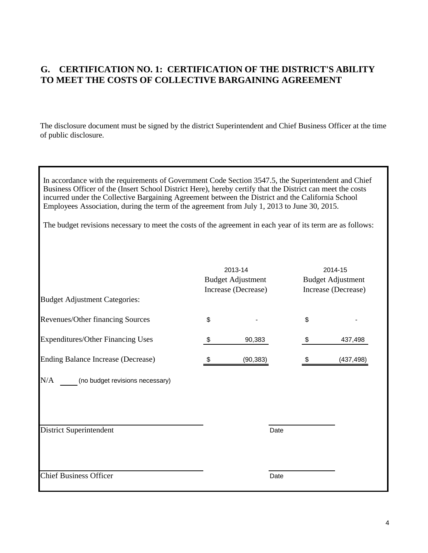# **G. CERTIFICATION NO. 1: CERTIFICATION OF THE DISTRICT'S ABILITY TO MEET THE COSTS OF COLLECTIVE BARGAINING AGREEMENT**

The disclosure document must be signed by the district Superintendent and Chief Business Officer at the time of public disclosure.

In accordance with the requirements of Government Code Section 3547.5, the Superintendent and Chief Business Officer of the (Insert School District Here), hereby certify that the District can meet the costs incurred under the Collective Bargaining Agreement between the District and the California School Employees Association, during the term of the agreement from July 1, 2013 to June 30, 2015.

The budget revisions necessary to meet the costs of the agreement in each year of its term are as follows:

| <b>Budget Adjustment Categories:</b>     | 2013-14<br><b>Budget Adjustment</b><br>Increase (Decrease) | 2014-15<br><b>Budget Adjustment</b><br>Increase (Decrease) |
|------------------------------------------|------------------------------------------------------------|------------------------------------------------------------|
|                                          |                                                            |                                                            |
| Revenues/Other financing Sources         | \$                                                         | \$                                                         |
| <b>Expenditures/Other Financing Uses</b> | \$<br>90,383                                               | \$<br>437,498                                              |
| Ending Balance Increase (Decrease)       | (90, 383)                                                  | (437, 498)                                                 |
| N/A<br>(no budget revisions necessary)   |                                                            |                                                            |
| <b>District Superintendent</b>           | Date                                                       |                                                            |
| <b>Chief Business Officer</b>            | Date                                                       |                                                            |